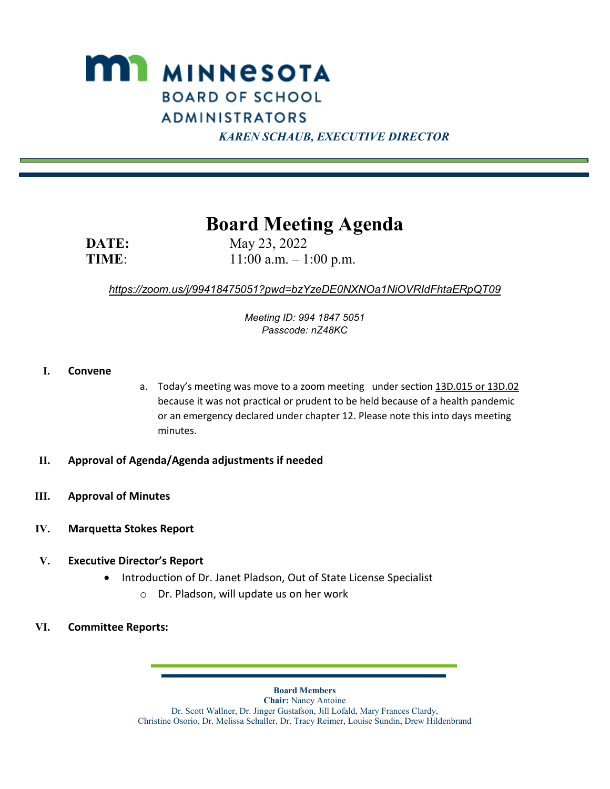

 *KAREN SCHAUB, EXECUTIVE DIRECTOR*

# **Board Meeting Agenda**

**DATE:** May 23, 2022 **TIME**: 11:00 a.m. – 1:00 p.m.

# *<https://zoom.us/j/99418475051?pwd=bzYzeDE0NXNOa1NiOVRIdFhtaERpQT09>*

*Meeting ID: 994 1847 5051 Passcode: nZ48KC*

#### **I. Convene**

- a. Today's meeting was move to a zoom meeting under section [13D.015 or 13D.02](https://nam12.safelinks.protection.outlook.com/?url=https%3A%2F%2Fwww.revisor.mn.gov%2Fstatutes%2Fcite%2F13D.015&data=05%7C01%7C%7C58f0ca08f1bb4944e84808da3a6cf979%7C84df9e7fe9f640afb435aaaaaaaaaaaa%7C1%7C0%7C637886536972907220%7CUnknown%7CTWFpbGZsb3d8eyJWIjoiMC4wLjAwMDAiLCJQIjoiV2luMzIiLCJBTiI6Ik1haWwiLCJXVCI6Mn0%3D%7C3000%7C%7C%7C&sdata=E7fJLaqzIqwpkFlNbxXNooW25w2IXI0llpZNb1LNxy8%3D&reserved=0) because it was not practical or prudent to be held because of a health pandemic or an emergency declared under chapter 12. Please note this into days meeting minutes.
- **II. Approval of Agenda/Agenda adjustments if needed**
- **III. Approval of Minutes**
- **IV. Marquetta Stokes Report**
- **V. Executive Director's Report**
	- Introduction of Dr. Janet Pladson, Out of State License Specialist
		- o Dr. Pladson, will update us on her work
- **VI. Committee Reports:**

**Board Members**

**Chair:** Nancy Antoine Dr. Scott Wallner, Dr. Jinger Gustafson, Jill Lofald, Mary Frances Clardy, Christine Osorio, Dr. Melissa Schaller, Dr. Tracy Reimer, Louise Sundin, Drew Hildenbrand